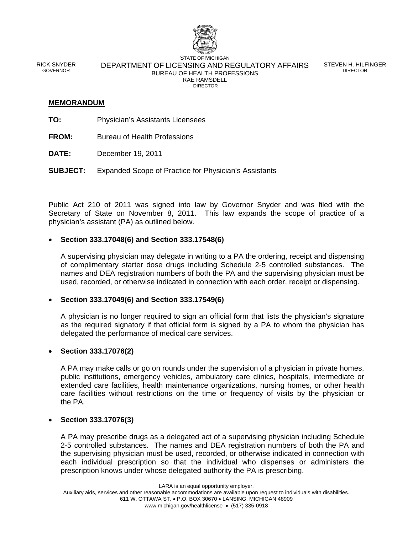

RICK SNYDER GOVERNOR

STATE OF MICHIGAN DEPARTMENT OF LICENSING AND REGULATORY AFFAIRS BUREAU OF HEALTH PROFESSIONS RAE RAMSDELL DIRECTOR

STEVEN H. HILFINGER DIRECTOR

# **MEMORANDUM**

- **TO:** Physician's Assistants Licensees
- **FROM:** Bureau of Health Professions
- **DATE:** December 19, 2011
- **SUBJECT:** Expanded Scope of Practice for Physician's Assistants

Public Act 210 of 2011 was signed into law by Governor Snyder and was filed with the Secretary of State on November 8, 2011. This law expands the scope of practice of a physician's assistant (PA) as outlined below.

# **Section 333.17048(6) and Section 333.17548(6)**

A supervising physician may delegate in writing to a PA the ordering, receipt and dispensing of complimentary starter dose drugs including Schedule 2-5 controlled substances. The names and DEA registration numbers of both the PA and the supervising physician must be used, recorded, or otherwise indicated in connection with each order, receipt or dispensing.

# **Section 333.17049(6) and Section 333.17549(6)**

A physician is no longer required to sign an official form that lists the physician's signature as the required signatory if that official form is signed by a PA to whom the physician has delegated the performance of medical care services.

# **Section 333.17076(2)**

A PA may make calls or go on rounds under the supervision of a physician in private homes, public institutions, emergency vehicles, ambulatory care clinics, hospitals, intermediate or extended care facilities, health maintenance organizations, nursing homes, or other health care facilities without restrictions on the time or frequency of visits by the physician or the PA.

# **Section 333.17076(3)**

A PA may prescribe drugs as a delegated act of a supervising physician including Schedule 2-5 controlled substances. The names and DEA registration numbers of both the PA and the supervising physician must be used, recorded, or otherwise indicated in connection with each individual prescription so that the individual who dispenses or administers the prescription knows under whose delegated authority the PA is prescribing.

LARA is an equal opportunity employer.

www.michigan.gov/healthlicense • (517) 335-0918